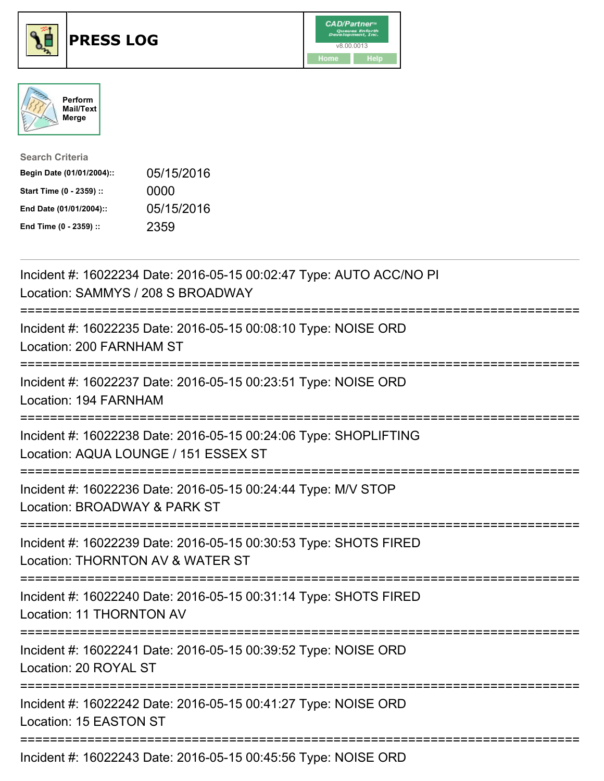





| <b>Search Criteria</b>    |            |
|---------------------------|------------|
| Begin Date (01/01/2004):: | 05/15/2016 |
| Start Time (0 - 2359) ::  | 0000       |
| End Date (01/01/2004)::   | 05/15/2016 |
| End Time (0 - 2359) ::    | 2359       |

| Incident #: 16022234 Date: 2016-05-15 00:02:47 Type: AUTO ACC/NO PI<br>Location: SAMMYS / 208 S BROADWAY<br>----------                   |
|------------------------------------------------------------------------------------------------------------------------------------------|
| Incident #: 16022235 Date: 2016-05-15 00:08:10 Type: NOISE ORD<br>Location: 200 FARNHAM ST<br>==============<br>======================== |
| Incident #: 16022237 Date: 2016-05-15 00:23:51 Type: NOISE ORD<br>Location: 194 FARNHAM<br>----------------                              |
| Incident #: 16022238 Date: 2016-05-15 00:24:06 Type: SHOPLIFTING<br>Location: AQUA LOUNGE / 151 ESSEX ST<br>---------------------------  |
| Incident #: 16022236 Date: 2016-05-15 00:24:44 Type: M/V STOP<br>Location: BROADWAY & PARK ST<br>:=====================================  |
| Incident #: 16022239 Date: 2016-05-15 00:30:53 Type: SHOTS FIRED<br>Location: THORNTON AV & WATER ST<br>:=======================         |
| Incident #: 16022240 Date: 2016-05-15 00:31:14 Type: SHOTS FIRED<br>Location: 11 THORNTON AV                                             |
| Incident #: 16022241 Date: 2016-05-15 00:39:52 Type: NOISE ORD<br>Location: 20 ROYAL ST                                                  |
| Incident #: 16022242 Date: 2016-05-15 00:41:27 Type: NOISE ORD<br>Location: 15 EASTON ST                                                 |
| Incident #: 16022243 Date: 2016-05-15 00:45:56 Type: NOISE ORD                                                                           |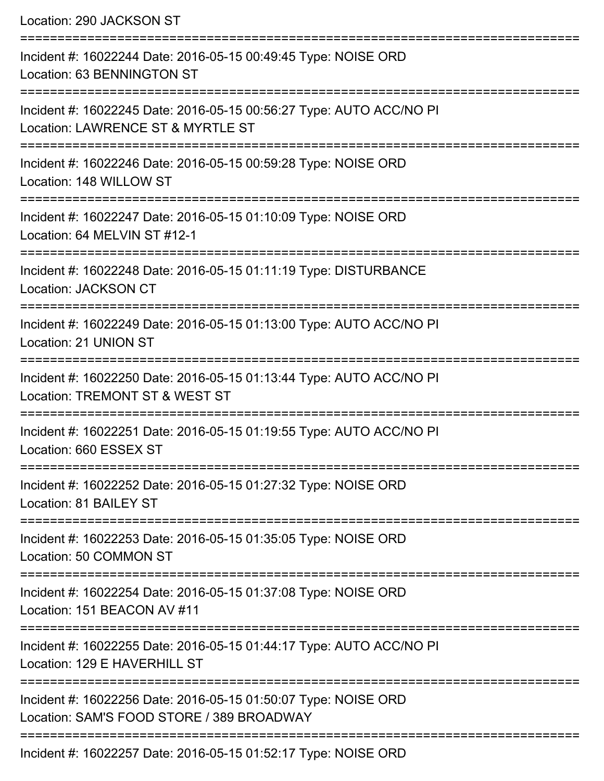| Location: 290 JACKSON ST                                                                                                         |
|----------------------------------------------------------------------------------------------------------------------------------|
| Incident #: 16022244 Date: 2016-05-15 00:49:45 Type: NOISE ORD<br>Location: 63 BENNINGTON ST                                     |
| Incident #: 16022245 Date: 2016-05-15 00:56:27 Type: AUTO ACC/NO PI<br>Location: LAWRENCE ST & MYRTLE ST                         |
| ====================<br>Incident #: 16022246 Date: 2016-05-15 00:59:28 Type: NOISE ORD<br>Location: 148 WILLOW ST                |
| Incident #: 16022247 Date: 2016-05-15 01:10:09 Type: NOISE ORD<br>Location: 64 MELVIN ST #12-1                                   |
| ===================================<br>Incident #: 16022248 Date: 2016-05-15 01:11:19 Type: DISTURBANCE<br>Location: JACKSON CT  |
| Incident #: 16022249 Date: 2016-05-15 01:13:00 Type: AUTO ACC/NO PI<br>Location: 21 UNION ST                                     |
| Incident #: 16022250 Date: 2016-05-15 01:13:44 Type: AUTO ACC/NO PI<br>Location: TREMONT ST & WEST ST                            |
| Incident #: 16022251 Date: 2016-05-15 01:19:55 Type: AUTO ACC/NO PI<br>Location: 660 ESSEX ST                                    |
| Incident #: 16022252 Date: 2016-05-15 01:27:32 Type: NOISE ORD<br>Location: 81 BAILEY ST                                         |
| Incident #: 16022253 Date: 2016-05-15 01:35:05 Type: NOISE ORD<br>Location: 50 COMMON ST                                         |
| Incident #: 16022254 Date: 2016-05-15 01:37:08 Type: NOISE ORD<br>Location: 151 BEACON AV #11                                    |
| Incident #: 16022255 Date: 2016-05-15 01:44:17 Type: AUTO ACC/NO PI<br>Location: 129 E HAVERHILL ST                              |
| =================<br>Incident #: 16022256 Date: 2016-05-15 01:50:07 Type: NOISE ORD<br>Location: SAM'S FOOD STORE / 389 BROADWAY |
|                                                                                                                                  |

Incident #: 16022257 Date: 2016-05-15 01:52:17 Type: NOISE ORD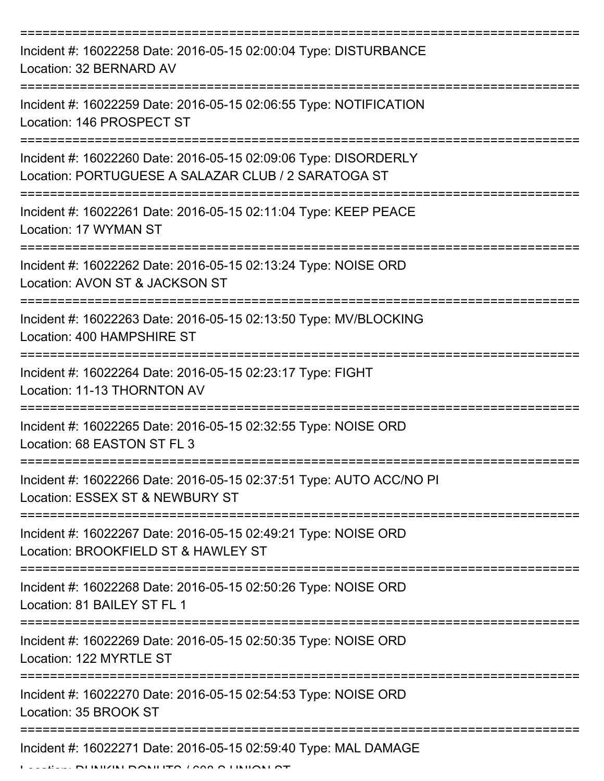| Incident #: 16022258 Date: 2016-05-15 02:00:04 Type: DISTURBANCE<br>Location: 32 BERNARD AV                            |
|------------------------------------------------------------------------------------------------------------------------|
| Incident #: 16022259 Date: 2016-05-15 02:06:55 Type: NOTIFICATION<br>Location: 146 PROSPECT ST                         |
| Incident #: 16022260 Date: 2016-05-15 02:09:06 Type: DISORDERLY<br>Location: PORTUGUESE A SALAZAR CLUB / 2 SARATOGA ST |
| Incident #: 16022261 Date: 2016-05-15 02:11:04 Type: KEEP PEACE<br>Location: 17 WYMAN ST                               |
| Incident #: 16022262 Date: 2016-05-15 02:13:24 Type: NOISE ORD<br>Location: AVON ST & JACKSON ST                       |
| Incident #: 16022263 Date: 2016-05-15 02:13:50 Type: MV/BLOCKING<br>Location: 400 HAMPSHIRE ST                         |
| Incident #: 16022264 Date: 2016-05-15 02:23:17 Type: FIGHT<br>Location: 11-13 THORNTON AV                              |
| Incident #: 16022265 Date: 2016-05-15 02:32:55 Type: NOISE ORD<br>Location: 68 FASTON ST FL 3                          |
| Incident #: 16022266 Date: 2016-05-15 02:37:51 Type: AUTO ACC/NO PI<br>Location: ESSEX ST & NEWBURY ST                 |
| Incident #: 16022267 Date: 2016-05-15 02:49:21 Type: NOISE ORD<br>Location: BROOKFIELD ST & HAWLEY ST                  |
| Incident #: 16022268 Date: 2016-05-15 02:50:26 Type: NOISE ORD<br>Location: 81 BAILEY ST FL 1                          |
| Incident #: 16022269 Date: 2016-05-15 02:50:35 Type: NOISE ORD<br>Location: 122 MYRTLE ST                              |
| Incident #: 16022270 Date: 2016-05-15 02:54:53 Type: NOISE ORD<br>Location: 35 BROOK ST                                |
| Incident #: 16022271 Date: 2016-05-15 02:59:40 Type: MAL DAMAGE                                                        |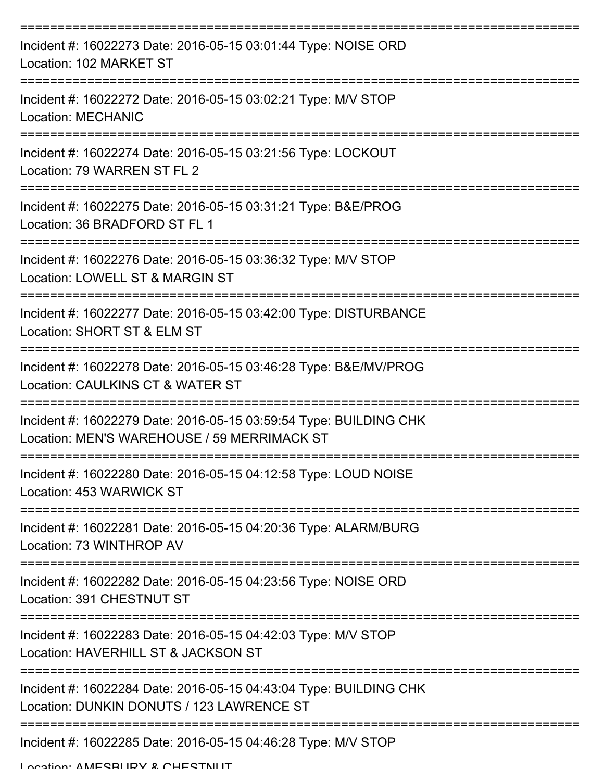| Incident #: 16022273 Date: 2016-05-15 03:01:44 Type: NOISE ORD<br>Location: 102 MARKET ST                        |
|------------------------------------------------------------------------------------------------------------------|
| Incident #: 16022272 Date: 2016-05-15 03:02:21 Type: M/V STOP<br><b>Location: MECHANIC</b>                       |
| Incident #: 16022274 Date: 2016-05-15 03:21:56 Type: LOCKOUT<br>Location: 79 WARREN ST FL 2                      |
| Incident #: 16022275 Date: 2016-05-15 03:31:21 Type: B&E/PROG<br>Location: 36 BRADFORD ST FL 1                   |
| Incident #: 16022276 Date: 2016-05-15 03:36:32 Type: M/V STOP<br>Location: LOWELL ST & MARGIN ST                 |
| Incident #: 16022277 Date: 2016-05-15 03:42:00 Type: DISTURBANCE<br>Location: SHORT ST & ELM ST                  |
| Incident #: 16022278 Date: 2016-05-15 03:46:28 Type: B&E/MV/PROG<br>Location: CAULKINS CT & WATER ST             |
| Incident #: 16022279 Date: 2016-05-15 03:59:54 Type: BUILDING CHK<br>Location: MEN'S WAREHOUSE / 59 MERRIMACK ST |
| Incident #: 16022280 Date: 2016-05-15 04:12:58 Type: LOUD NOISE<br>Location: 453 WARWICK ST                      |
| Incident #: 16022281 Date: 2016-05-15 04:20:36 Type: ALARM/BURG<br>Location: 73 WINTHROP AV                      |
| Incident #: 16022282 Date: 2016-05-15 04:23:56 Type: NOISE ORD<br>Location: 391 CHESTNUT ST                      |
| Incident #: 16022283 Date: 2016-05-15 04:42:03 Type: M/V STOP<br>Location: HAVERHILL ST & JACKSON ST             |
| Incident #: 16022284 Date: 2016-05-15 04:43:04 Type: BUILDING CHK<br>Location: DUNKIN DONUTS / 123 LAWRENCE ST   |
| Incident #: 16022285 Date: 2016-05-15 04:46:28 Type: M/V STOP                                                    |

Location: AMESBURY & CHESTNILIT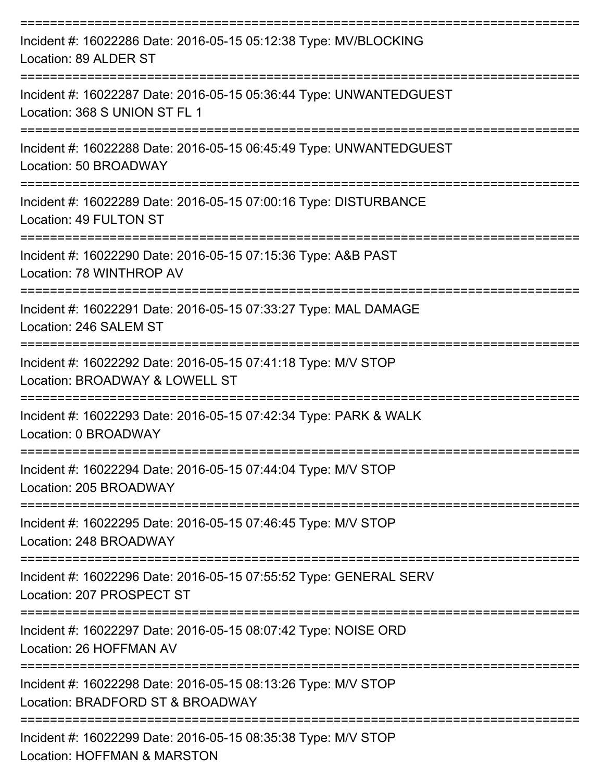| Incident #: 16022286 Date: 2016-05-15 05:12:38 Type: MV/BLOCKING<br>Location: 89 ALDER ST           |
|-----------------------------------------------------------------------------------------------------|
| Incident #: 16022287 Date: 2016-05-15 05:36:44 Type: UNWANTEDGUEST<br>Location: 368 S UNION ST FL 1 |
| Incident #: 16022288 Date: 2016-05-15 06:45:49 Type: UNWANTEDGUEST<br>Location: 50 BROADWAY         |
| Incident #: 16022289 Date: 2016-05-15 07:00:16 Type: DISTURBANCE<br>Location: 49 FULTON ST          |
| Incident #: 16022290 Date: 2016-05-15 07:15:36 Type: A&B PAST<br>Location: 78 WINTHROP AV           |
| Incident #: 16022291 Date: 2016-05-15 07:33:27 Type: MAL DAMAGE<br>Location: 246 SALEM ST           |
| Incident #: 16022292 Date: 2016-05-15 07:41:18 Type: M/V STOP<br>Location: BROADWAY & LOWELL ST     |
| Incident #: 16022293 Date: 2016-05-15 07:42:34 Type: PARK & WALK<br>Location: 0 BROADWAY            |
| Incident #: 16022294 Date: 2016-05-15 07:44:04 Type: M/V STOP<br>Location: 205 BROADWAY             |
| Incident #: 16022295 Date: 2016-05-15 07:46:45 Type: M/V STOP<br>Location: 248 BROADWAY             |
| Incident #: 16022296 Date: 2016-05-15 07:55:52 Type: GENERAL SERV<br>Location: 207 PROSPECT ST      |
| Incident #: 16022297 Date: 2016-05-15 08:07:42 Type: NOISE ORD<br>Location: 26 HOFFMAN AV           |
| Incident #: 16022298 Date: 2016-05-15 08:13:26 Type: M/V STOP<br>Location: BRADFORD ST & BROADWAY   |
| Incident #: 16022299 Date: 2016-05-15 08:35:38 Type: M/V STOP                                       |

Location: HOFFMAN & MARSTON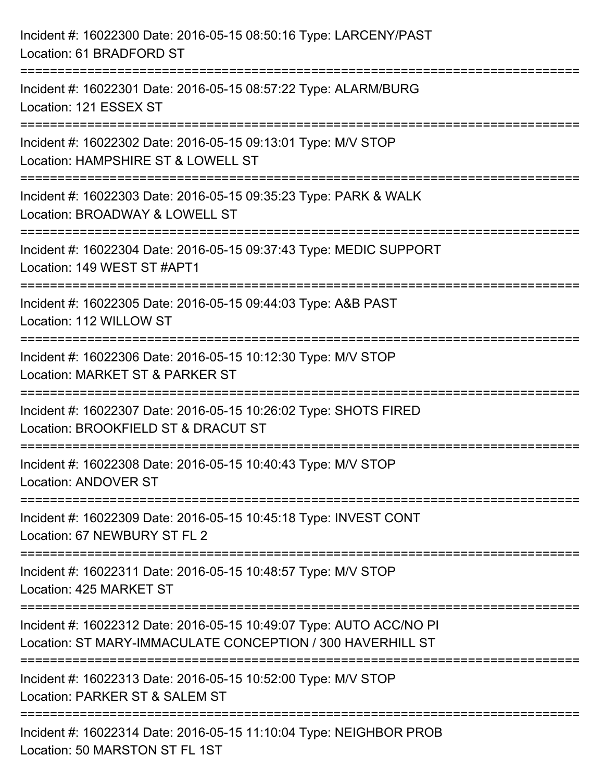| Incident #: 16022300 Date: 2016-05-15 08:50:16 Type: LARCENY/PAST<br>Location: 61 BRADFORD ST                                            |
|------------------------------------------------------------------------------------------------------------------------------------------|
| ====================================<br>Incident #: 16022301 Date: 2016-05-15 08:57:22 Type: ALARM/BURG<br>Location: 121 ESSEX ST        |
| =================================<br>Incident #: 16022302 Date: 2016-05-15 09:13:01 Type: M/V STOP<br>Location: HAMPSHIRE ST & LOWELL ST |
| Incident #: 16022303 Date: 2016-05-15 09:35:23 Type: PARK & WALK<br>Location: BROADWAY & LOWELL ST                                       |
| :===================<br>Incident #: 16022304 Date: 2016-05-15 09:37:43 Type: MEDIC SUPPORT<br>Location: 149 WEST ST #APT1                |
| Incident #: 16022305 Date: 2016-05-15 09:44:03 Type: A&B PAST<br>Location: 112 WILLOW ST                                                 |
| Incident #: 16022306 Date: 2016-05-15 10:12:30 Type: M/V STOP<br>Location: MARKET ST & PARKER ST                                         |
| Incident #: 16022307 Date: 2016-05-15 10:26:02 Type: SHOTS FIRED<br>Location: BROOKFIELD ST & DRACUT ST                                  |
| Incident #: 16022308 Date: 2016-05-15 10:40:43 Type: M/V STOP<br><b>Location: ANDOVER ST</b>                                             |
| Incident #: 16022309 Date: 2016-05-15 10:45:18 Type: INVEST CONT<br>Location: 67 NEWBURY ST FL 2                                         |
| Incident #: 16022311 Date: 2016-05-15 10:48:57 Type: M/V STOP<br>Location: 425 MARKET ST                                                 |
| Incident #: 16022312 Date: 2016-05-15 10:49:07 Type: AUTO ACC/NO PI<br>Location: ST MARY-IMMACULATE CONCEPTION / 300 HAVERHILL ST        |
| Incident #: 16022313 Date: 2016-05-15 10:52:00 Type: M/V STOP<br>Location: PARKER ST & SALEM ST                                          |
| Incident #: 16022314 Date: 2016-05-15 11:10:04 Type: NEIGHBOR PROB<br>Location: 50 MARSTON ST FL 1ST                                     |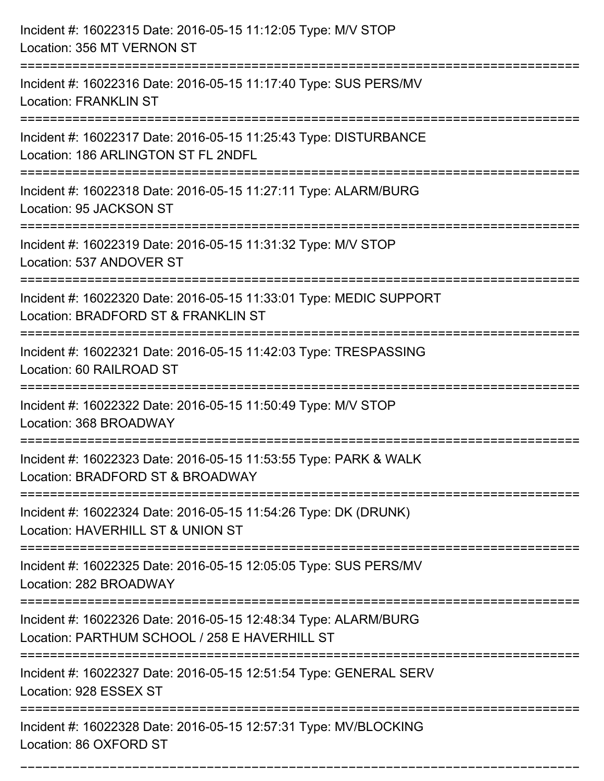| Incident #: 16022315 Date: 2016-05-15 11:12:05 Type: M/V STOP<br>Location: 356 MT VERNON ST                                              |
|------------------------------------------------------------------------------------------------------------------------------------------|
| :=====================<br>Incident #: 16022316 Date: 2016-05-15 11:17:40 Type: SUS PERS/MV<br><b>Location: FRANKLIN ST</b>               |
| Incident #: 16022317 Date: 2016-05-15 11:25:43 Type: DISTURBANCE<br>Location: 186 ARLINGTON ST FL 2NDFL<br>============================= |
| Incident #: 16022318 Date: 2016-05-15 11:27:11 Type: ALARM/BURG<br>Location: 95 JACKSON ST                                               |
| Incident #: 16022319 Date: 2016-05-15 11:31:32 Type: M/V STOP<br>Location: 537 ANDOVER ST                                                |
| Incident #: 16022320 Date: 2016-05-15 11:33:01 Type: MEDIC SUPPORT<br>Location: BRADFORD ST & FRANKLIN ST                                |
| Incident #: 16022321 Date: 2016-05-15 11:42:03 Type: TRESPASSING<br>Location: 60 RAILROAD ST                                             |
| Incident #: 16022322 Date: 2016-05-15 11:50:49 Type: M/V STOP<br>Location: 368 BROADWAY                                                  |
| Incident #: 16022323 Date: 2016-05-15 11:53:55 Type: PARK & WALK<br>Location: BRADFORD ST & BROADWAY                                     |
| Incident #: 16022324 Date: 2016-05-15 11:54:26 Type: DK (DRUNK)<br>Location: HAVERHILL ST & UNION ST                                     |
| Incident #: 16022325 Date: 2016-05-15 12:05:05 Type: SUS PERS/MV<br>Location: 282 BROADWAY                                               |
| Incident #: 16022326 Date: 2016-05-15 12:48:34 Type: ALARM/BURG<br>Location: PARTHUM SCHOOL / 258 E HAVERHILL ST                         |
| Incident #: 16022327 Date: 2016-05-15 12:51:54 Type: GENERAL SERV<br>Location: 928 ESSEX ST                                              |
| Incident #: 16022328 Date: 2016-05-15 12:57:31 Type: MV/BLOCKING<br>Location: 86 OXFORD ST                                               |

===========================================================================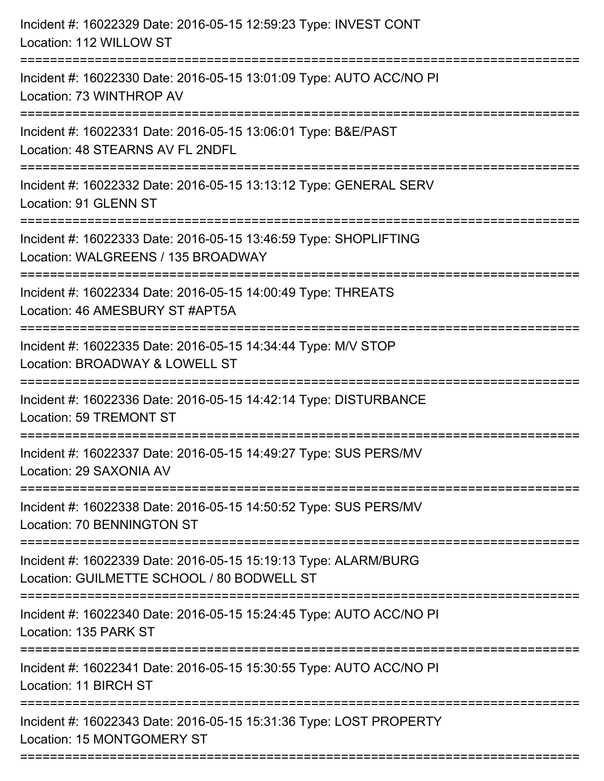| Incident #: 16022329 Date: 2016-05-15 12:59:23 Type: INVEST CONT<br>Location: 112 WILLOW ST                                                |
|--------------------------------------------------------------------------------------------------------------------------------------------|
| Incident #: 16022330 Date: 2016-05-15 13:01:09 Type: AUTO ACC/NO PI<br>Location: 73 WINTHROP AV                                            |
| Incident #: 16022331 Date: 2016-05-15 13:06:01 Type: B&E/PAST<br>Location: 48 STEARNS AV FL 2NDFL<br>:==================================== |
| Incident #: 16022332 Date: 2016-05-15 13:13:12 Type: GENERAL SERV<br>Location: 91 GLENN ST                                                 |
| Incident #: 16022333 Date: 2016-05-15 13:46:59 Type: SHOPLIFTING<br>Location: WALGREENS / 135 BROADWAY<br>=====================            |
| Incident #: 16022334 Date: 2016-05-15 14:00:49 Type: THREATS<br>Location: 46 AMESBURY ST #APT5A<br>:=====================================  |
| Incident #: 16022335 Date: 2016-05-15 14:34:44 Type: M/V STOP<br>Location: BROADWAY & LOWELL ST                                            |
| Incident #: 16022336 Date: 2016-05-15 14:42:14 Type: DISTURBANCE<br><b>Location: 59 TREMONT ST</b>                                         |
| Incident #: 16022337 Date: 2016-05-15 14:49:27 Type: SUS PERS/MV<br>Location: 29 SAXONIA AV                                                |
| Incident #: 16022338 Date: 2016-05-15 14:50:52 Type: SUS PERS/MV<br>Location: 70 BENNINGTON ST                                             |
| Incident #: 16022339 Date: 2016-05-15 15:19:13 Type: ALARM/BURG<br>Location: GUILMETTE SCHOOL / 80 BODWELL ST                              |
| Incident #: 16022340 Date: 2016-05-15 15:24:45 Type: AUTO ACC/NO PI<br>Location: 135 PARK ST                                               |
| Incident #: 16022341 Date: 2016-05-15 15:30:55 Type: AUTO ACC/NO PI<br>Location: 11 BIRCH ST                                               |
| Incident #: 16022343 Date: 2016-05-15 15:31:36 Type: LOST PROPERTY<br>Location: 15 MONTGOMERY ST                                           |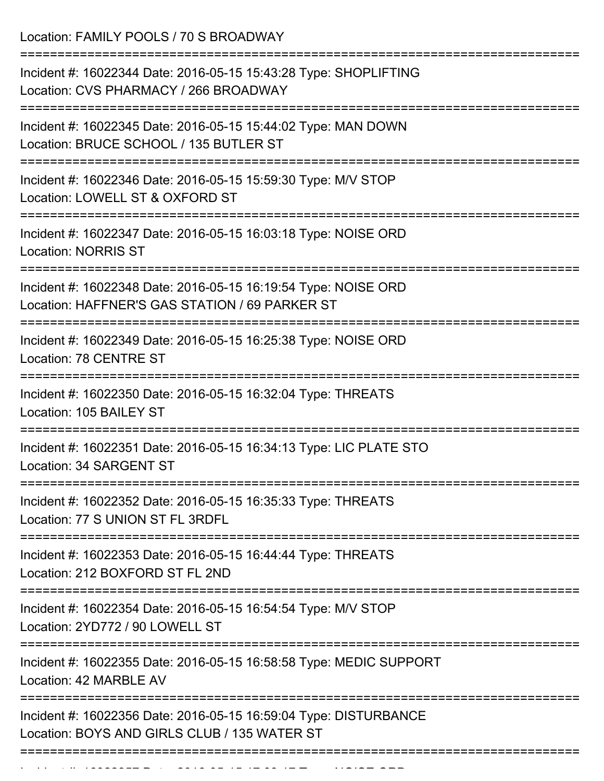Location: FAMILY POOLS / 70 S BROADWAY =========================================================================== Incident #: 16022344 Date: 2016-05-15 15:43:28 Type: SHOPLIFTING Location: CVS PHARMACY / 266 BROADWAY =========================================================================== Incident #: 16022345 Date: 2016-05-15 15:44:02 Type: MAN DOWN Location: BRUCE SCHOOL / 135 BUTLER ST =========================================================================== Incident #: 16022346 Date: 2016-05-15 15:59:30 Type: M/V STOP Location: LOWELL ST & OXFORD ST =========================================================================== Incident #: 16022347 Date: 2016-05-15 16:03:18 Type: NOISE ORD Location: NORRIS ST =========================================================================== Incident #: 16022348 Date: 2016-05-15 16:19:54 Type: NOISE ORD Location: HAFFNER'S GAS STATION / 69 PARKER ST =========================================================================== Incident #: 16022349 Date: 2016-05-15 16:25:38 Type: NOISE ORD Location: 78 CENTRE ST =========================================================================== Incident #: 16022350 Date: 2016-05-15 16:32:04 Type: THREATS Location: 105 BAILEY ST =========================================================================== Incident #: 16022351 Date: 2016-05-15 16:34:13 Type: LIC PLATE STO Location: 34 SARGENT ST =========================================================================== Incident #: 16022352 Date: 2016-05-15 16:35:33 Type: THREATS Location: 77 S UNION ST FL 3RDFL =========================================================================== Incident #: 16022353 Date: 2016-05-15 16:44:44 Type: THREATS Location: 212 BOXFORD ST FL 2ND =========================================================================== Incident #: 16022354 Date: 2016-05-15 16:54:54 Type: M/V STOP Location: 2YD772 / 90 LOWELL ST =========================================================================== Incident #: 16022355 Date: 2016-05-15 16:58:58 Type: MEDIC SUPPORT Location: 42 MARBLE AV =========================================================================== Incident #: 16022356 Date: 2016-05-15 16:59:04 Type: DISTURBANCE Location: BOYS AND GIRLS CLUB / 135 WATER ST ===========================================================================

Incident #: 16022357 Date: 2016 05 15 15 15 16 15 5 16 16 16 17:03:17 Type: NOISE ORD<br>.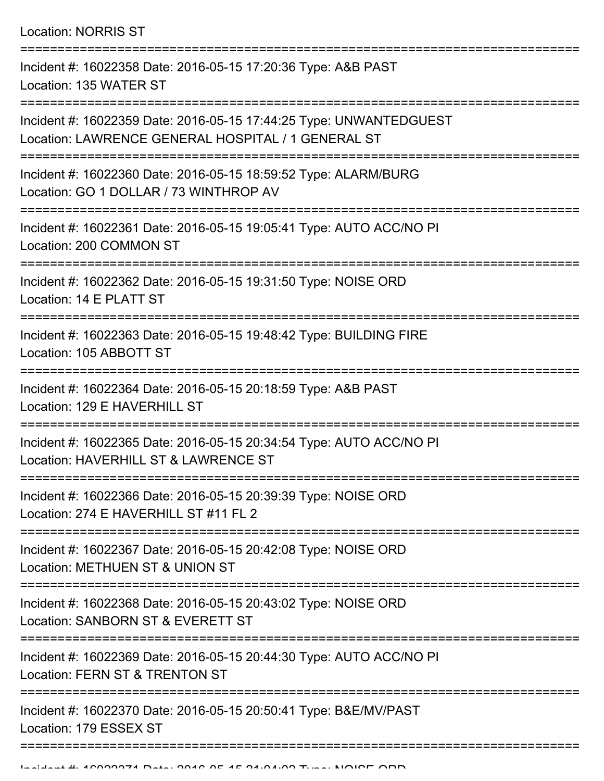Location: NORRIS ST

| Incident #: 16022358 Date: 2016-05-15 17:20:36 Type: A&B PAST<br>Location: 135 WATER ST                                  |
|--------------------------------------------------------------------------------------------------------------------------|
| Incident #: 16022359 Date: 2016-05-15 17:44:25 Type: UNWANTEDGUEST<br>Location: LAWRENCE GENERAL HOSPITAL / 1 GENERAL ST |
| Incident #: 16022360 Date: 2016-05-15 18:59:52 Type: ALARM/BURG<br>Location: GO 1 DOLLAR / 73 WINTHROP AV                |
| Incident #: 16022361 Date: 2016-05-15 19:05:41 Type: AUTO ACC/NO PI<br>Location: 200 COMMON ST                           |
| Incident #: 16022362 Date: 2016-05-15 19:31:50 Type: NOISE ORD<br>Location: 14 E PLATT ST                                |
| Incident #: 16022363 Date: 2016-05-15 19:48:42 Type: BUILDING FIRE<br>Location: 105 ABBOTT ST                            |
| Incident #: 16022364 Date: 2016-05-15 20:18:59 Type: A&B PAST<br>Location: 129 E HAVERHILL ST                            |
| Incident #: 16022365 Date: 2016-05-15 20:34:54 Type: AUTO ACC/NO PI<br>Location: HAVERHILL ST & LAWRENCE ST              |
| Incident #: 16022366 Date: 2016-05-15 20:39:39 Type: NOISE ORD<br>Location: 274 E HAVERHILL ST #11 FL 2                  |
| Incident #: 16022367 Date: 2016-05-15 20:42:08 Type: NOISE ORD<br>Location: METHUEN ST & UNION ST                        |
| Incident #: 16022368 Date: 2016-05-15 20:43:02 Type: NOISE ORD<br>Location: SANBORN ST & EVERETT ST                      |
| Incident #: 16022369 Date: 2016-05-15 20:44:30 Type: AUTO ACC/NO PI<br>Location: FERN ST & TRENTON ST                    |
| Incident #: 16022370 Date: 2016-05-15 20:50:41 Type: B&E/MV/PAST<br>Location: 179 ESSEX ST                               |
|                                                                                                                          |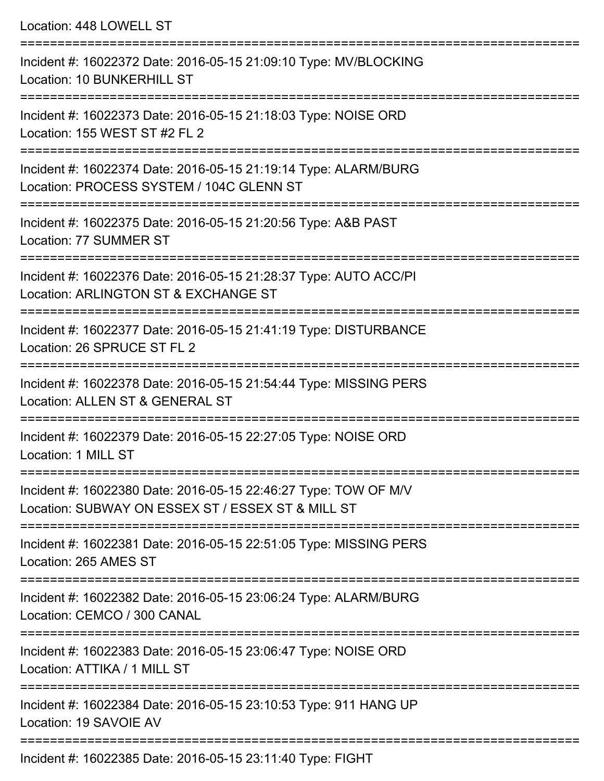| Location: 448 LOWELL ST                                                                                                                 |
|-----------------------------------------------------------------------------------------------------------------------------------------|
| Incident #: 16022372 Date: 2016-05-15 21:09:10 Type: MV/BLOCKING<br><b>Location: 10 BUNKERHILL ST</b>                                   |
| Incident #: 16022373 Date: 2016-05-15 21:18:03 Type: NOISE ORD<br>Location: 155 WEST ST #2 FL 2                                         |
| Incident #: 16022374 Date: 2016-05-15 21:19:14 Type: ALARM/BURG<br>Location: PROCESS SYSTEM / 104C GLENN ST<br>------------------------ |
| Incident #: 16022375 Date: 2016-05-15 21:20:56 Type: A&B PAST<br>Location: 77 SUMMER ST                                                 |
| Incident #: 16022376 Date: 2016-05-15 21:28:37 Type: AUTO ACC/PI<br>Location: ARLINGTON ST & EXCHANGE ST<br>-------------------------   |
| Incident #: 16022377 Date: 2016-05-15 21:41:19 Type: DISTURBANCE<br>Location: 26 SPRUCE ST FL 2                                         |
| Incident #: 16022378 Date: 2016-05-15 21:54:44 Type: MISSING PERS<br>Location: ALLEN ST & GENERAL ST                                    |
| Incident #: 16022379 Date: 2016-05-15 22:27:05 Type: NOISE ORD<br>Location: 1 MILL ST                                                   |
| Incident #: 16022380 Date: 2016-05-15 22:46:27 Type: TOW OF M/V<br>Location: SUBWAY ON ESSEX ST / ESSEX ST & MILL ST                    |
| Incident #: 16022381 Date: 2016-05-15 22:51:05 Type: MISSING PERS<br>Location: 265 AMES ST                                              |
| Incident #: 16022382 Date: 2016-05-15 23:06:24 Type: ALARM/BURG<br>Location: CEMCO / 300 CANAL                                          |
| Incident #: 16022383 Date: 2016-05-15 23:06:47 Type: NOISE ORD<br>Location: ATTIKA / 1 MILL ST                                          |
| Incident #: 16022384 Date: 2016-05-15 23:10:53 Type: 911 HANG UP<br>Location: 19 SAVOIE AV                                              |

Incident #: 16022385 Date: 2016-05-15 23:11:40 Type: FIGHT